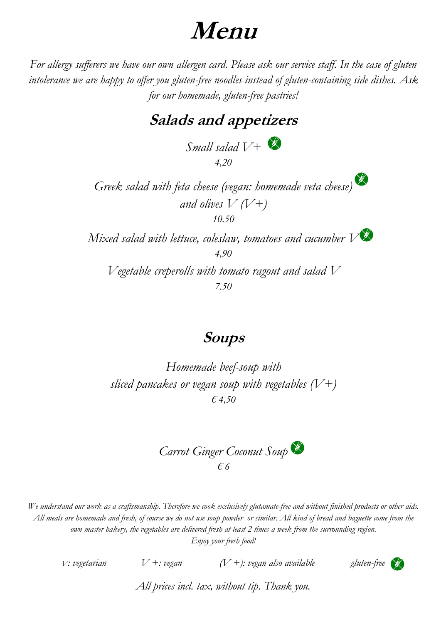# **Menu**

*For allergy sufferers we have our own allergen card. Please ask our service staff. In the case of gluten intolerance we are happy to offer you gluten-free noodles instead of gluten-containing side dishes. Ask for our homemade, gluten-free pastries!*

# **Salads and appetizers**

*Small salad V+ 4,20*

*Greek salad with feta cheese (vegan: homemade veta cheese) and olives V (V+) 10.50*

*Mixed salad with lettuce, coleslaw, tomatoes and cucumber V 4,90*

*Vegetable creperolls with tomato ragout and salad V 7.50*

# **Soups**

*Homemade beef-soup with sliced pancakes or vegan soup with vegetables (V+) € 4,50*

*Carrot Ginger Coconut Soup € 6*

*We understand our work as a craftsmanship. Therefore we cook exclusively glutamate-free and without finished products or other aids. All meals are homemade and fresh, of course we do not use soup powder or similar. All kind of bread and baguette come from the own master bakery, the vegetables are delivered fresh at least 2 times a week from the surrounding region. Enjoy your fresh food!*

*V*: vegetarian  $V +$ : vegan  $(V +)$ : vegan also available *gluten-free* 



*All prices incl. tax, without tip. Thank you.*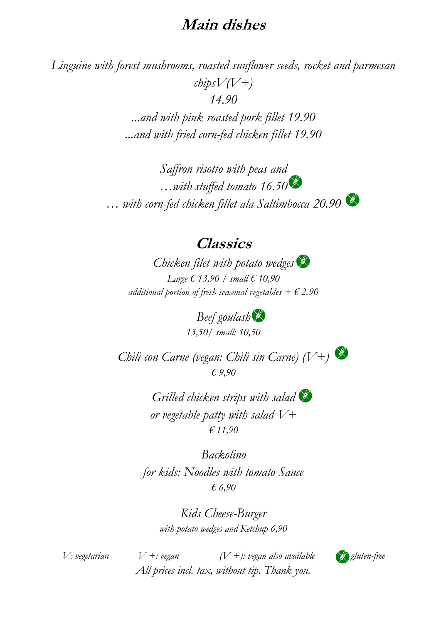# **Main dishes**

*Linguine with forest mushrooms, roasted sunflower seeds, rocket and parmesan chipsV(V+) 14.90 ...and with pink roasted pork fillet 19.90 ...and with fried corn-fed chicken fillet 19.90*

> *Saffron risotto with peas and …with stuffed tomato 16.50 … with corn-fed chicken fillet ala Saltimbocca 20.90*

### **Classics**

*Chicken filet with potato wedges Large € 13,90 / small € 10,90 additional portion of fresh seasonal vegetables*  $+ \epsilon$  2.90

> *Beef goulash 13,50/ small: 10,50*

*Chili con Carne (vegan: Chili sin Carne) (V+) € 9,90*

> *Grilled chicken strips with salad or vegetable patty with salad V+ € 11,90*

*Backolino for kids: Noodles with tomato Sauce € 6,90*

> *Kids Cheese-Burger with potato wedges and Ketchup 6,90*

*V*: vegetarian  $V +$ : vegan  $(V +)$ : vegan also available  $\bigotimes$  gluten-free *All prices incl. tax, without tip. Thank you.*

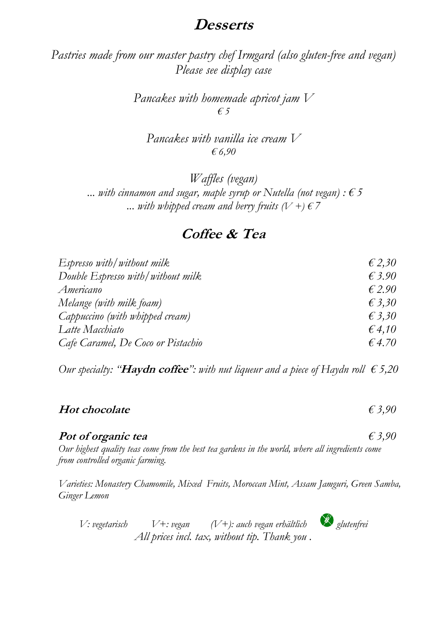# **Desserts**

*Pastries made from our master pastry chef Irmgard (also gluten-free and vegan) Please see display case*

> *Pancakes with homemade apricot jam V € 5*

*Pancakes with vanilla ice cream V € 6,90*

*Waffles (vegan)* ... with cinnamon and sugar, maple syrup or Nutella (not vegan)  $: \epsilon$  5 ... with whipped cream and berry fruits  $(V +) \in \mathbb{Z}$ 

### **Coffee & Tea**

| Espresso with/without milk         | $\epsilon$ 2,30 |
|------------------------------------|-----------------|
| Double Espresso with/without milk  | $\epsilon$ 3.90 |
| Americano                          | $\epsilon$ 2.90 |
| Melange (with milk foam)           | $\epsilon$ 3,30 |
| Cappuccino (with whipped cream)    | $\epsilon$ 3,30 |
| Latte Macchiato                    | $\epsilon$ 4,10 |
| Cafe Caramel, De Coco or Pistachio | $\epsilon$ 4.70 |

*Our specialty:* "**Haydn coffee**": with nut liqueur and a piece of Haydn roll  $\epsilon$  5,20

#### **Hot chocolate** *€ 3,90*

#### **Pot of organic tea** *€ 3,90*

*Our highest quality teas come from the best tea gardens in the world, where all ingredients come from controlled organic farming.*

*Varieties: Monastery Chamomile, Mixed Fruits, Moroccan Mint, Assam Jamguri, Green Samba, Ginger Lemon*

*V: vegetarisch V+: vegan (V+): auch vegan erhältlich glutenfrei All prices incl. tax, without tip. Thank you .*